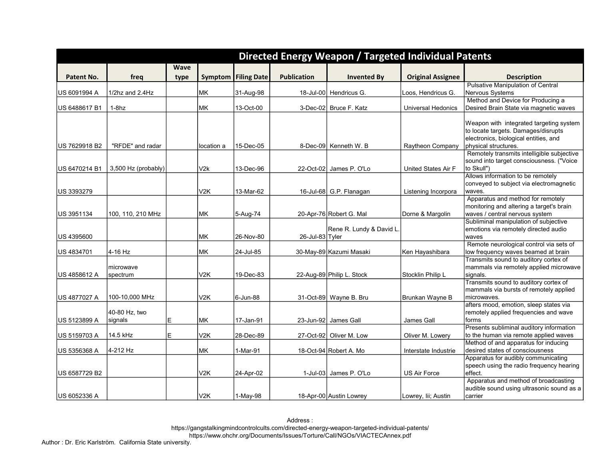|               |                       |             |                  |                            |                    | Directed Energy Weapon / Targeted Individual Patents |                           |                                                                                 |
|---------------|-----------------------|-------------|------------------|----------------------------|--------------------|------------------------------------------------------|---------------------------|---------------------------------------------------------------------------------|
|               |                       | <b>Wave</b> |                  |                            |                    |                                                      |                           |                                                                                 |
| Patent No.    | freg                  | type        |                  | <b>Symptom</b> Filing Date | <b>Publication</b> | <b>Invented By</b>                                   | <b>Original Assignee</b>  | <b>Description</b>                                                              |
|               |                       |             |                  |                            |                    |                                                      |                           | <b>Pulsative Manipulation of Central</b>                                        |
| US 6091994 A  | $1/2$ hz and $2.4$ Hz |             | MK               | 31-Aug-98                  |                    | 18-Jul-00 Hendricus G.                               | Loos, Hendricus G.        | Nervous Systems                                                                 |
|               |                       |             |                  |                            |                    |                                                      |                           | Method and Device for Producing a                                               |
| US 6488617 B1 | $1-8hz$               |             | <b>MK</b>        | 13-Oct-00                  |                    | 3-Dec-02 Bruce F. Katz                               | <b>Universal Hedonics</b> | Desired Brain State via magnetic waves                                          |
|               |                       |             |                  |                            |                    |                                                      |                           | Weapon with integrated targeting system                                         |
|               |                       |             |                  |                            |                    |                                                      |                           | to locate targets. Damages/disrupts                                             |
|               |                       |             |                  |                            |                    |                                                      |                           | electronics, biological entities, and                                           |
| US 7629918 B2 | "RFDE" and radar      |             | location a       | 15-Dec-05                  |                    | 8-Dec-09 Kenneth W. B                                | Raytheon Company          | physical structures.                                                            |
|               |                       |             |                  |                            |                    |                                                      |                           | Remotely transmits intelligible subjective                                      |
|               |                       |             |                  |                            |                    |                                                      |                           | sound into target consciousness. ("Voice                                        |
| US 6470214 B1 | 3,500 Hz (probably)   |             | V2k              | 13-Dec-96                  |                    | 22-Oct-02 James P. O'Lo                              | United States Air F       | to Skull")<br>Allows information to be remotely                                 |
|               |                       |             |                  |                            |                    |                                                      |                           | conveyed to subject via electromagnetic                                         |
| US 3393279    |                       |             | V <sub>2</sub> K | 13-Mar-62                  |                    | 16-Jul-68 G.P. Flanagan                              | Listening Incorpora       | waves.                                                                          |
|               |                       |             |                  |                            |                    |                                                      |                           | Apparatus and method for remotely                                               |
|               |                       |             |                  |                            |                    |                                                      |                           | monitoring and altering a target's brain                                        |
| US 3951134    | 100, 110, 210 MHz     |             | MК               | 5-Aug-74                   |                    | 20-Apr-76 Robert G. Mal                              | Dorne & Margolin          | waves / central nervous system                                                  |
|               |                       |             |                  |                            |                    |                                                      |                           | Subliminal manipulation of subjective                                           |
|               |                       |             |                  |                            |                    | Rene R. Lundy & David L.                             |                           | emotions via remotely directed audio                                            |
| US 4395600    |                       |             | <b>MK</b>        | 26-Nov-80                  | 26-Jul-83 Tyler    |                                                      |                           | waves<br>Remote neurological control via sets of                                |
| US 4834701    | 4-16 Hz               |             | МK               | 24-Jul-85                  |                    | 30-May-89 Kazumi Masaki                              | Ken Hayashibara           | low frequency waves beamed at brain                                             |
|               |                       |             |                  |                            |                    |                                                      |                           | Transmits sound to auditory cortex of                                           |
|               | microwave             |             |                  |                            |                    |                                                      |                           | mammals via remotely applied microwave                                          |
| US 4858612 A  | spectrum              |             | V2K              | 19-Dec-83                  |                    | 22-Aug-89 Philip L. Stock                            | Stocklin Philip L         | signals.                                                                        |
|               |                       |             |                  |                            |                    |                                                      |                           | Transmits sound to auditory cortex of                                           |
|               |                       |             |                  |                            |                    |                                                      |                           | mammals via bursts of remotely applied                                          |
| US 4877027 A  | 100-10,000 MHz        |             | V <sub>2</sub> K | 6-Jun-88                   |                    | 31-Oct-89 Wayne B. Bru                               | Brunkan Wayne B           | microwaves.<br>afters mood, emotion, sleep states via                           |
|               | 40-80 Hz, two         |             |                  |                            |                    |                                                      |                           | remotely applied frequencies and wave                                           |
| US 5123899 A  | signals               | Е           | MK               | 17-Jan-91                  |                    | 23-Jun-92 James Gall                                 | <b>James Gall</b>         | forms                                                                           |
|               |                       |             |                  |                            |                    |                                                      |                           | Presents subliminal auditory information                                        |
| US 5159703 A  | 14.5 kHz              | E           | V <sub>2</sub> K | 28-Dec-89                  |                    | 27-Oct-92 Oliver M. Low                              | Oliver M. Lowery          | to the human via remote applied waves                                           |
|               |                       |             |                  |                            |                    |                                                      |                           | Method of and apparatus for inducing                                            |
| US 5356368 A  | 4-212 Hz              |             | MK               | 1-Mar-91                   |                    | 18-Oct-94 Robert A. Mo                               | Interstate Industrie      | desired states of consciousness                                                 |
|               |                       |             |                  |                            |                    |                                                      |                           | Apparatus for audibly communicating<br>speech using the radio frequency hearing |
| US 6587729 B2 |                       |             | V <sub>2</sub> K | 24-Apr-02                  |                    | 1-Jul-03 James P. O'Lo                               | <b>US Air Force</b>       | effect.                                                                         |
|               |                       |             |                  |                            |                    |                                                      |                           | Apparatus and method of broadcasting                                            |
|               |                       |             |                  |                            |                    |                                                      |                           | audible sound using ultrasonic sound as a                                       |
| US 6052336 A  |                       |             | V <sub>2K</sub>  | 1-May-98                   |                    | 18-Apr-00 Austin Lowrey                              | Lowrey, Iii; Austin       | carrier                                                                         |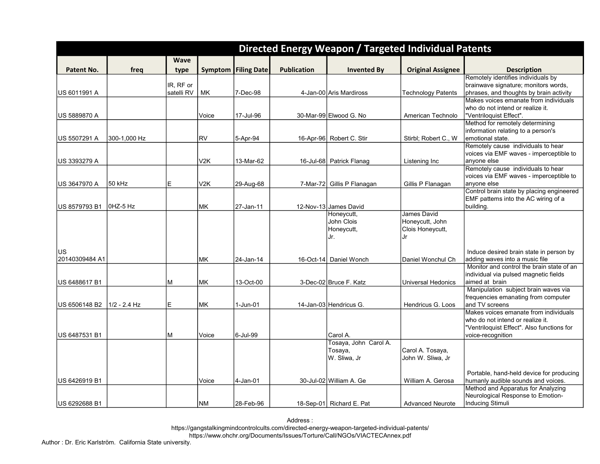|                              |              |             |                  |                    |                    | Directed Energy Weapon / Targeted Individual Patents |                           |                                                                                  |
|------------------------------|--------------|-------------|------------------|--------------------|--------------------|------------------------------------------------------|---------------------------|----------------------------------------------------------------------------------|
|                              |              | <b>Wave</b> |                  |                    |                    |                                                      |                           |                                                                                  |
| Patent No.                   | freq         | type        | Symptom          | <b>Filing Date</b> | <b>Publication</b> | <b>Invented By</b>                                   | <b>Original Assignee</b>  | <b>Description</b>                                                               |
|                              |              |             |                  |                    |                    |                                                      |                           | Remotely identifies individuals by                                               |
|                              |              | IR, RF or   |                  |                    |                    |                                                      |                           | brainwave signature; monitors words,                                             |
| US 6011991 A                 |              | satelli RV  | МK               | 7-Dec-98           |                    | 4-Jan-00 Aris Mardiross                              | <b>Technology Patents</b> | phrases, and thoughts by brain activity<br>Makes voices emanate from individuals |
|                              |              |             |                  |                    |                    |                                                      |                           | who do not intend or realize it.                                                 |
| US 5889870 A                 |              |             | Voice            | 17-Jul-96          |                    | 30-Mar-99 Elwood G. No                               | American Technolo         | "Ventriloquist Effect".                                                          |
|                              |              |             |                  |                    |                    |                                                      |                           | Method for remotely determining                                                  |
|                              |              |             |                  |                    |                    |                                                      |                           | information relating to a person's                                               |
| US 5507291 A                 | 300-1,000 Hz |             | RV               | 5-Apr-94           |                    | 16-Apr-96 Robert C. Stir                             | Stirbl; Robert C., W      | emotional state.<br>Remotely cause individuals to hear                           |
|                              |              |             |                  |                    |                    |                                                      |                           | voices via EMF waves - imperceptible to                                          |
| US 3393279 A                 |              |             | V <sub>2</sub> K | 13-Mar-62          |                    | 16-Jul-68 Patrick Flanag                             | Listening Inc             | anyone else                                                                      |
|                              |              |             |                  |                    |                    |                                                      |                           | Remotely cause individuals to hear                                               |
|                              |              |             |                  |                    |                    |                                                      |                           | voices via EMF waves - imperceptible to                                          |
| US 3647970 A                 | 50 kHz       | E           | V2K              | 29-Aug-68          |                    | 7-Mar-72 Gillis P Flanagan                           | Gillis P Flanagan         | anyone else<br>Control brain state by placing engineered                         |
|                              |              |             |                  |                    |                    |                                                      |                           | EMF pattems into the AC wiring of a                                              |
| US 8579793 B1                | $0HZ-5HZ$    |             | MK               | 27-Jan-11          |                    | 12-Nov-13 James David                                |                           | building.                                                                        |
|                              |              |             |                  |                    |                    | Honeycutt,                                           | James David               |                                                                                  |
|                              |              |             |                  |                    |                    | John Clois                                           | Honeycutt, John           |                                                                                  |
|                              |              |             |                  |                    |                    | Honeycutt,<br>Jr.                                    | Clois Honeycutt,<br>Jr    |                                                                                  |
|                              |              |             |                  |                    |                    |                                                      |                           |                                                                                  |
| US                           |              |             |                  |                    |                    |                                                      |                           | Induce desired brain state in person by                                          |
| 20140309484 A1               |              |             | <b>MK</b>        | 24-Jan-14          |                    | 16-Oct-14 Daniel Wonch                               | Daniel Wonchul Ch         | adding waves into a music file                                                   |
|                              |              |             |                  |                    |                    |                                                      |                           | Monitor and control the brain state of an                                        |
|                              |              |             | <b>IMK</b>       |                    |                    |                                                      |                           | individual via pulsed magnetic fields                                            |
| US 6488617 B1                |              | M           |                  | 13-Oct-00          |                    | 3-Dec-02 Bruce F. Katz                               | <b>Universal Hedonics</b> | aimed at brain<br>Manipulation subject brain waves via                           |
|                              |              |             |                  |                    |                    |                                                      |                           | frequencies emanating from computer                                              |
| US 6506148 B2   1/2 - 2.4 Hz |              | E           | <b>MK</b>        | 1-Jun-01           |                    | 14-Jan-03 Hendricus G.                               | Hendricus G. Loos         | and TV screens                                                                   |
|                              |              |             |                  |                    |                    |                                                      |                           | Makes voices emanate from individuals                                            |
|                              |              |             |                  |                    |                    |                                                      |                           | who do not intend or realize it.                                                 |
|                              |              | M           |                  | 6-Jul-99           |                    |                                                      |                           | "Ventriloquist Effect". Also functions for                                       |
| US 6487531 B1                |              |             | Voice            |                    |                    | Carol A.<br>Tosaya, John Carol A.                    |                           | voice-recognition                                                                |
|                              |              |             |                  |                    |                    | Tosaya,                                              | Carol A. Tosaya,          |                                                                                  |
|                              |              |             |                  |                    |                    | W. Sliwa, Jr                                         | John W. Sliwa, Jr         |                                                                                  |
|                              |              |             |                  |                    |                    |                                                      |                           |                                                                                  |
|                              |              |             |                  |                    |                    |                                                      |                           | Portable, hand-held device for producing                                         |
| US 6426919 B1                |              |             | Voice            | 4-Jan-01           |                    | 30-Jul-02 William A. Ge                              | William A. Gerosa         | humanly audible sounds and voices.<br>Method and Apparatus for Analyzing         |
|                              |              |             |                  |                    |                    |                                                      |                           | Neurological Response to Emotion-                                                |
| US 6292688 B1                |              |             | <b>NM</b>        | 28-Feb-96          |                    | 18-Sep-01 Richard E. Pat                             | <b>Advanced Neurote</b>   | Inducing Stimuli                                                                 |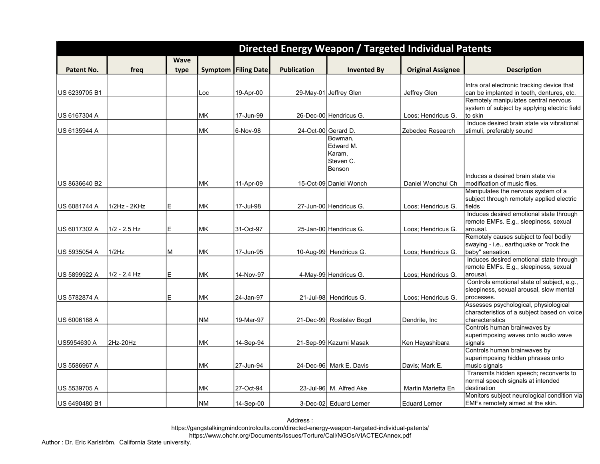| <b>Wave</b><br><b>Filing Date</b><br><b>Publication</b><br>Patent No.<br>freq<br>Symptom<br><b>Invented By</b><br><b>Original Assignee</b><br><b>Description</b><br>type<br>Intra oral electronic tracking device that<br>can be implanted in teeth, dentures, etc.<br>US 6239705 B1<br>19-Apr-00<br>29-May-01 Jeffrey Glen<br>Jeffrey Glen<br>Loc<br>Remotely manipulates central nervous<br>system of subject by applying electric field<br>to skin<br>МK<br>17-Jun-99<br>26-Dec-00 Hendricus G.<br>US 6167304 A<br>Loos; Hendricus G.<br>Induce desired brain state via vibrational<br>MK<br>6-Nov-98<br>24-Oct-00 Gerard D.<br>US 6135944 A<br>Zebedee Research<br>stimuli, preferably sound<br>Bowman.<br>Edward M.<br>Karam,<br>Steven C.<br>Benson<br>Induces a desired brain state via<br>modification of music files.<br>US 8636640 B2<br>MK<br>11-Apr-09<br>15-Oct-09 Daniel Wonch<br>Daniel Wonchul Ch<br>Manipulates the nervous system of a<br>subject through remotely applied electric<br>E<br>1/2Hz - 2KHz<br>МK<br>17-Jul-98<br>27-Jun-00 Hendricus G.<br>fields<br>Loos; Hendricus G.<br>Induces desired emotional state through<br>remote EMFs. E.g., sleepiness, sexual<br>E<br>arousal.<br>US 6017302 A<br>$1/2 - 2.5$ Hz<br>МK<br>31-Oct-97<br>25-Jan-00 Hendricus G.<br>Loos; Hendricus G.<br>Remotely causes subject to feel bodily<br>swaying - i.e., earthquake or "rock the<br>1/2Hz<br>M<br>MK<br>baby" sensation.<br>US 5935054 A<br>17-Jun-95<br>10-Aug-99 Hendricus G.<br>Loos; Hendricus G.<br>Induces desired emotional state through<br>remote EMFs. E.g., sleepiness, sexual<br>E<br>US 5899922 A<br>$1/2 - 2.4$ Hz<br>МK<br>14-Nov-97<br>arousal.<br>4-May-99 Hendricus G.<br>Loos; Hendricus G.<br>Controls emotional state of subject, e.g.,<br>sleepiness, sexual arousal, slow mental<br>E<br>MK<br>24-Jan-97<br>21-Jul-98 Hendricus G.<br>processes.<br>Loos; Hendricus G.<br>Assesses psychological, physiological<br>characteristics of a subject based on voice<br><b>NM</b><br>characteristics<br>US 6006188 A<br>19-Mar-97<br>21-Dec-99 Rostislav Bogd<br>Dendrite, Inc.<br>Controls human brainwaves by<br>superimposing waves onto audio wave<br>2Hz-20Hz<br>MK<br>21-Sep-99 Kazumi Masak<br>US5954630 A<br>14-Sep-94<br>signals<br>Ken Hayashibara<br>Controls human brainwaves by |               |  |  |  | <b>Directed Energy Weapon / Targeted Individual Patents</b> |                                   |
|-------------------------------------------------------------------------------------------------------------------------------------------------------------------------------------------------------------------------------------------------------------------------------------------------------------------------------------------------------------------------------------------------------------------------------------------------------------------------------------------------------------------------------------------------------------------------------------------------------------------------------------------------------------------------------------------------------------------------------------------------------------------------------------------------------------------------------------------------------------------------------------------------------------------------------------------------------------------------------------------------------------------------------------------------------------------------------------------------------------------------------------------------------------------------------------------------------------------------------------------------------------------------------------------------------------------------------------------------------------------------------------------------------------------------------------------------------------------------------------------------------------------------------------------------------------------------------------------------------------------------------------------------------------------------------------------------------------------------------------------------------------------------------------------------------------------------------------------------------------------------------------------------------------------------------------------------------------------------------------------------------------------------------------------------------------------------------------------------------------------------------------------------------------------------------------------------------------------------------------------------------------------------------------------------------------------------------------|---------------|--|--|--|-------------------------------------------------------------|-----------------------------------|
|                                                                                                                                                                                                                                                                                                                                                                                                                                                                                                                                                                                                                                                                                                                                                                                                                                                                                                                                                                                                                                                                                                                                                                                                                                                                                                                                                                                                                                                                                                                                                                                                                                                                                                                                                                                                                                                                                                                                                                                                                                                                                                                                                                                                                                                                                                                                     |               |  |  |  |                                                             |                                   |
|                                                                                                                                                                                                                                                                                                                                                                                                                                                                                                                                                                                                                                                                                                                                                                                                                                                                                                                                                                                                                                                                                                                                                                                                                                                                                                                                                                                                                                                                                                                                                                                                                                                                                                                                                                                                                                                                                                                                                                                                                                                                                                                                                                                                                                                                                                                                     |               |  |  |  |                                                             |                                   |
|                                                                                                                                                                                                                                                                                                                                                                                                                                                                                                                                                                                                                                                                                                                                                                                                                                                                                                                                                                                                                                                                                                                                                                                                                                                                                                                                                                                                                                                                                                                                                                                                                                                                                                                                                                                                                                                                                                                                                                                                                                                                                                                                                                                                                                                                                                                                     |               |  |  |  |                                                             |                                   |
|                                                                                                                                                                                                                                                                                                                                                                                                                                                                                                                                                                                                                                                                                                                                                                                                                                                                                                                                                                                                                                                                                                                                                                                                                                                                                                                                                                                                                                                                                                                                                                                                                                                                                                                                                                                                                                                                                                                                                                                                                                                                                                                                                                                                                                                                                                                                     |               |  |  |  |                                                             |                                   |
|                                                                                                                                                                                                                                                                                                                                                                                                                                                                                                                                                                                                                                                                                                                                                                                                                                                                                                                                                                                                                                                                                                                                                                                                                                                                                                                                                                                                                                                                                                                                                                                                                                                                                                                                                                                                                                                                                                                                                                                                                                                                                                                                                                                                                                                                                                                                     |               |  |  |  |                                                             |                                   |
|                                                                                                                                                                                                                                                                                                                                                                                                                                                                                                                                                                                                                                                                                                                                                                                                                                                                                                                                                                                                                                                                                                                                                                                                                                                                                                                                                                                                                                                                                                                                                                                                                                                                                                                                                                                                                                                                                                                                                                                                                                                                                                                                                                                                                                                                                                                                     |               |  |  |  |                                                             |                                   |
|                                                                                                                                                                                                                                                                                                                                                                                                                                                                                                                                                                                                                                                                                                                                                                                                                                                                                                                                                                                                                                                                                                                                                                                                                                                                                                                                                                                                                                                                                                                                                                                                                                                                                                                                                                                                                                                                                                                                                                                                                                                                                                                                                                                                                                                                                                                                     |               |  |  |  |                                                             |                                   |
|                                                                                                                                                                                                                                                                                                                                                                                                                                                                                                                                                                                                                                                                                                                                                                                                                                                                                                                                                                                                                                                                                                                                                                                                                                                                                                                                                                                                                                                                                                                                                                                                                                                                                                                                                                                                                                                                                                                                                                                                                                                                                                                                                                                                                                                                                                                                     |               |  |  |  |                                                             |                                   |
|                                                                                                                                                                                                                                                                                                                                                                                                                                                                                                                                                                                                                                                                                                                                                                                                                                                                                                                                                                                                                                                                                                                                                                                                                                                                                                                                                                                                                                                                                                                                                                                                                                                                                                                                                                                                                                                                                                                                                                                                                                                                                                                                                                                                                                                                                                                                     |               |  |  |  |                                                             |                                   |
|                                                                                                                                                                                                                                                                                                                                                                                                                                                                                                                                                                                                                                                                                                                                                                                                                                                                                                                                                                                                                                                                                                                                                                                                                                                                                                                                                                                                                                                                                                                                                                                                                                                                                                                                                                                                                                                                                                                                                                                                                                                                                                                                                                                                                                                                                                                                     |               |  |  |  |                                                             |                                   |
|                                                                                                                                                                                                                                                                                                                                                                                                                                                                                                                                                                                                                                                                                                                                                                                                                                                                                                                                                                                                                                                                                                                                                                                                                                                                                                                                                                                                                                                                                                                                                                                                                                                                                                                                                                                                                                                                                                                                                                                                                                                                                                                                                                                                                                                                                                                                     |               |  |  |  |                                                             |                                   |
|                                                                                                                                                                                                                                                                                                                                                                                                                                                                                                                                                                                                                                                                                                                                                                                                                                                                                                                                                                                                                                                                                                                                                                                                                                                                                                                                                                                                                                                                                                                                                                                                                                                                                                                                                                                                                                                                                                                                                                                                                                                                                                                                                                                                                                                                                                                                     |               |  |  |  |                                                             |                                   |
|                                                                                                                                                                                                                                                                                                                                                                                                                                                                                                                                                                                                                                                                                                                                                                                                                                                                                                                                                                                                                                                                                                                                                                                                                                                                                                                                                                                                                                                                                                                                                                                                                                                                                                                                                                                                                                                                                                                                                                                                                                                                                                                                                                                                                                                                                                                                     |               |  |  |  |                                                             |                                   |
|                                                                                                                                                                                                                                                                                                                                                                                                                                                                                                                                                                                                                                                                                                                                                                                                                                                                                                                                                                                                                                                                                                                                                                                                                                                                                                                                                                                                                                                                                                                                                                                                                                                                                                                                                                                                                                                                                                                                                                                                                                                                                                                                                                                                                                                                                                                                     |               |  |  |  |                                                             |                                   |
|                                                                                                                                                                                                                                                                                                                                                                                                                                                                                                                                                                                                                                                                                                                                                                                                                                                                                                                                                                                                                                                                                                                                                                                                                                                                                                                                                                                                                                                                                                                                                                                                                                                                                                                                                                                                                                                                                                                                                                                                                                                                                                                                                                                                                                                                                                                                     |               |  |  |  |                                                             |                                   |
|                                                                                                                                                                                                                                                                                                                                                                                                                                                                                                                                                                                                                                                                                                                                                                                                                                                                                                                                                                                                                                                                                                                                                                                                                                                                                                                                                                                                                                                                                                                                                                                                                                                                                                                                                                                                                                                                                                                                                                                                                                                                                                                                                                                                                                                                                                                                     |               |  |  |  |                                                             |                                   |
|                                                                                                                                                                                                                                                                                                                                                                                                                                                                                                                                                                                                                                                                                                                                                                                                                                                                                                                                                                                                                                                                                                                                                                                                                                                                                                                                                                                                                                                                                                                                                                                                                                                                                                                                                                                                                                                                                                                                                                                                                                                                                                                                                                                                                                                                                                                                     |               |  |  |  |                                                             |                                   |
|                                                                                                                                                                                                                                                                                                                                                                                                                                                                                                                                                                                                                                                                                                                                                                                                                                                                                                                                                                                                                                                                                                                                                                                                                                                                                                                                                                                                                                                                                                                                                                                                                                                                                                                                                                                                                                                                                                                                                                                                                                                                                                                                                                                                                                                                                                                                     | US 6081744 A  |  |  |  |                                                             |                                   |
|                                                                                                                                                                                                                                                                                                                                                                                                                                                                                                                                                                                                                                                                                                                                                                                                                                                                                                                                                                                                                                                                                                                                                                                                                                                                                                                                                                                                                                                                                                                                                                                                                                                                                                                                                                                                                                                                                                                                                                                                                                                                                                                                                                                                                                                                                                                                     |               |  |  |  |                                                             |                                   |
|                                                                                                                                                                                                                                                                                                                                                                                                                                                                                                                                                                                                                                                                                                                                                                                                                                                                                                                                                                                                                                                                                                                                                                                                                                                                                                                                                                                                                                                                                                                                                                                                                                                                                                                                                                                                                                                                                                                                                                                                                                                                                                                                                                                                                                                                                                                                     |               |  |  |  |                                                             |                                   |
|                                                                                                                                                                                                                                                                                                                                                                                                                                                                                                                                                                                                                                                                                                                                                                                                                                                                                                                                                                                                                                                                                                                                                                                                                                                                                                                                                                                                                                                                                                                                                                                                                                                                                                                                                                                                                                                                                                                                                                                                                                                                                                                                                                                                                                                                                                                                     |               |  |  |  |                                                             |                                   |
|                                                                                                                                                                                                                                                                                                                                                                                                                                                                                                                                                                                                                                                                                                                                                                                                                                                                                                                                                                                                                                                                                                                                                                                                                                                                                                                                                                                                                                                                                                                                                                                                                                                                                                                                                                                                                                                                                                                                                                                                                                                                                                                                                                                                                                                                                                                                     |               |  |  |  |                                                             |                                   |
|                                                                                                                                                                                                                                                                                                                                                                                                                                                                                                                                                                                                                                                                                                                                                                                                                                                                                                                                                                                                                                                                                                                                                                                                                                                                                                                                                                                                                                                                                                                                                                                                                                                                                                                                                                                                                                                                                                                                                                                                                                                                                                                                                                                                                                                                                                                                     |               |  |  |  |                                                             |                                   |
|                                                                                                                                                                                                                                                                                                                                                                                                                                                                                                                                                                                                                                                                                                                                                                                                                                                                                                                                                                                                                                                                                                                                                                                                                                                                                                                                                                                                                                                                                                                                                                                                                                                                                                                                                                                                                                                                                                                                                                                                                                                                                                                                                                                                                                                                                                                                     |               |  |  |  |                                                             |                                   |
|                                                                                                                                                                                                                                                                                                                                                                                                                                                                                                                                                                                                                                                                                                                                                                                                                                                                                                                                                                                                                                                                                                                                                                                                                                                                                                                                                                                                                                                                                                                                                                                                                                                                                                                                                                                                                                                                                                                                                                                                                                                                                                                                                                                                                                                                                                                                     |               |  |  |  |                                                             |                                   |
|                                                                                                                                                                                                                                                                                                                                                                                                                                                                                                                                                                                                                                                                                                                                                                                                                                                                                                                                                                                                                                                                                                                                                                                                                                                                                                                                                                                                                                                                                                                                                                                                                                                                                                                                                                                                                                                                                                                                                                                                                                                                                                                                                                                                                                                                                                                                     |               |  |  |  |                                                             |                                   |
|                                                                                                                                                                                                                                                                                                                                                                                                                                                                                                                                                                                                                                                                                                                                                                                                                                                                                                                                                                                                                                                                                                                                                                                                                                                                                                                                                                                                                                                                                                                                                                                                                                                                                                                                                                                                                                                                                                                                                                                                                                                                                                                                                                                                                                                                                                                                     |               |  |  |  |                                                             |                                   |
|                                                                                                                                                                                                                                                                                                                                                                                                                                                                                                                                                                                                                                                                                                                                                                                                                                                                                                                                                                                                                                                                                                                                                                                                                                                                                                                                                                                                                                                                                                                                                                                                                                                                                                                                                                                                                                                                                                                                                                                                                                                                                                                                                                                                                                                                                                                                     |               |  |  |  |                                                             |                                   |
|                                                                                                                                                                                                                                                                                                                                                                                                                                                                                                                                                                                                                                                                                                                                                                                                                                                                                                                                                                                                                                                                                                                                                                                                                                                                                                                                                                                                                                                                                                                                                                                                                                                                                                                                                                                                                                                                                                                                                                                                                                                                                                                                                                                                                                                                                                                                     | US 5782874 A  |  |  |  |                                                             |                                   |
|                                                                                                                                                                                                                                                                                                                                                                                                                                                                                                                                                                                                                                                                                                                                                                                                                                                                                                                                                                                                                                                                                                                                                                                                                                                                                                                                                                                                                                                                                                                                                                                                                                                                                                                                                                                                                                                                                                                                                                                                                                                                                                                                                                                                                                                                                                                                     |               |  |  |  |                                                             |                                   |
|                                                                                                                                                                                                                                                                                                                                                                                                                                                                                                                                                                                                                                                                                                                                                                                                                                                                                                                                                                                                                                                                                                                                                                                                                                                                                                                                                                                                                                                                                                                                                                                                                                                                                                                                                                                                                                                                                                                                                                                                                                                                                                                                                                                                                                                                                                                                     |               |  |  |  |                                                             |                                   |
|                                                                                                                                                                                                                                                                                                                                                                                                                                                                                                                                                                                                                                                                                                                                                                                                                                                                                                                                                                                                                                                                                                                                                                                                                                                                                                                                                                                                                                                                                                                                                                                                                                                                                                                                                                                                                                                                                                                                                                                                                                                                                                                                                                                                                                                                                                                                     |               |  |  |  |                                                             |                                   |
|                                                                                                                                                                                                                                                                                                                                                                                                                                                                                                                                                                                                                                                                                                                                                                                                                                                                                                                                                                                                                                                                                                                                                                                                                                                                                                                                                                                                                                                                                                                                                                                                                                                                                                                                                                                                                                                                                                                                                                                                                                                                                                                                                                                                                                                                                                                                     |               |  |  |  |                                                             |                                   |
|                                                                                                                                                                                                                                                                                                                                                                                                                                                                                                                                                                                                                                                                                                                                                                                                                                                                                                                                                                                                                                                                                                                                                                                                                                                                                                                                                                                                                                                                                                                                                                                                                                                                                                                                                                                                                                                                                                                                                                                                                                                                                                                                                                                                                                                                                                                                     |               |  |  |  |                                                             |                                   |
|                                                                                                                                                                                                                                                                                                                                                                                                                                                                                                                                                                                                                                                                                                                                                                                                                                                                                                                                                                                                                                                                                                                                                                                                                                                                                                                                                                                                                                                                                                                                                                                                                                                                                                                                                                                                                                                                                                                                                                                                                                                                                                                                                                                                                                                                                                                                     |               |  |  |  |                                                             |                                   |
|                                                                                                                                                                                                                                                                                                                                                                                                                                                                                                                                                                                                                                                                                                                                                                                                                                                                                                                                                                                                                                                                                                                                                                                                                                                                                                                                                                                                                                                                                                                                                                                                                                                                                                                                                                                                                                                                                                                                                                                                                                                                                                                                                                                                                                                                                                                                     |               |  |  |  |                                                             | superimposing hidden phrases onto |
| <b>MK</b><br>27-Jun-94<br>music signals<br>24-Dec-96 Mark E. Davis<br>Davis; Mark E.                                                                                                                                                                                                                                                                                                                                                                                                                                                                                                                                                                                                                                                                                                                                                                                                                                                                                                                                                                                                                                                                                                                                                                                                                                                                                                                                                                                                                                                                                                                                                                                                                                                                                                                                                                                                                                                                                                                                                                                                                                                                                                                                                                                                                                                | US 5586967 A  |  |  |  |                                                             |                                   |
| Transmits hidden speech; reconverts to                                                                                                                                                                                                                                                                                                                                                                                                                                                                                                                                                                                                                                                                                                                                                                                                                                                                                                                                                                                                                                                                                                                                                                                                                                                                                                                                                                                                                                                                                                                                                                                                                                                                                                                                                                                                                                                                                                                                                                                                                                                                                                                                                                                                                                                                                              |               |  |  |  |                                                             |                                   |
| normal speech signals at intended                                                                                                                                                                                                                                                                                                                                                                                                                                                                                                                                                                                                                                                                                                                                                                                                                                                                                                                                                                                                                                                                                                                                                                                                                                                                                                                                                                                                                                                                                                                                                                                                                                                                                                                                                                                                                                                                                                                                                                                                                                                                                                                                                                                                                                                                                                   |               |  |  |  |                                                             |                                   |
| 27-Oct-94<br>destination<br>МK<br>23-Jul-96 M. Alfred Ake<br>Martin Marietta En<br>Monitors subject neurological condition via                                                                                                                                                                                                                                                                                                                                                                                                                                                                                                                                                                                                                                                                                                                                                                                                                                                                                                                                                                                                                                                                                                                                                                                                                                                                                                                                                                                                                                                                                                                                                                                                                                                                                                                                                                                                                                                                                                                                                                                                                                                                                                                                                                                                      | US 5539705 A  |  |  |  |                                                             |                                   |
| NM.<br>14-Sep-00<br>3-Dec-02 Eduard Lerner<br>EMFs remotely aimed at the skin.<br><b>Eduard Lerner</b>                                                                                                                                                                                                                                                                                                                                                                                                                                                                                                                                                                                                                                                                                                                                                                                                                                                                                                                                                                                                                                                                                                                                                                                                                                                                                                                                                                                                                                                                                                                                                                                                                                                                                                                                                                                                                                                                                                                                                                                                                                                                                                                                                                                                                              | US 6490480 B1 |  |  |  |                                                             |                                   |

Author : Dr. Eric Karlström. California State university.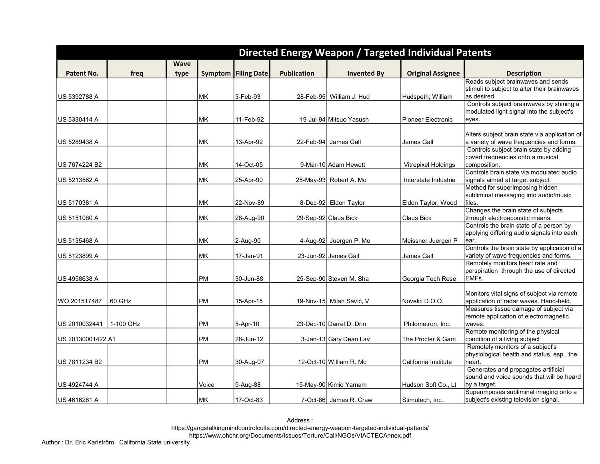|                   |           |             |           |                              |                    |                            | Directed Energy Weapon / Targeted Individual Patents |                                                                                       |
|-------------------|-----------|-------------|-----------|------------------------------|--------------------|----------------------------|------------------------------------------------------|---------------------------------------------------------------------------------------|
|                   |           | <b>Wave</b> |           |                              |                    |                            |                                                      |                                                                                       |
| Patent No.        | freq      | type        |           | <b>Symptom   Filing Date</b> | <b>Publication</b> | <b>Invented By</b>         | <b>Original Assignee</b>                             | <b>Description</b>                                                                    |
|                   |           |             |           |                              |                    |                            |                                                      | Reads subject brainwaves and sends                                                    |
|                   |           |             |           |                              |                    |                            |                                                      | stimuli to subject to alter their brainwaves                                          |
| US 5392788 A      |           |             | MK        | 3-Feb-93                     |                    | 28-Feb-95   William J. Hud | Hudspeth; William                                    | as desired                                                                            |
|                   |           |             |           |                              |                    |                            |                                                      | Controls subject brainwaves by shining a<br>modulated light signal into the subject's |
| US 5330414 A      |           |             | MК        | 11-Feb-92                    |                    | 19-Jul-94 Mitsuo Yasush    | Pioneer Electronic                                   | eyes.                                                                                 |
|                   |           |             |           |                              |                    |                            |                                                      |                                                                                       |
|                   |           |             |           |                              |                    |                            |                                                      | Alters subject brain state via application of                                         |
| US 5289438 A      |           |             | MK        | 13-Apr-92                    |                    | 22-Feb-94 James Gall       | James Gall                                           | a variety of wave frequencies and forms.                                              |
|                   |           |             |           |                              |                    |                            |                                                      | Controls subject brain state by adding                                                |
|                   |           |             |           |                              |                    |                            |                                                      | covert frequencies onto a musical                                                     |
| US 7674224 B2     |           |             | <b>MK</b> | 14-Oct-05                    |                    | 9-Mar-10 Adam Hewett       | <b>Vitrepixel Holdings</b>                           | composition.                                                                          |
| US 5213562 A      |           |             | MK        | 25-Apr-90                    |                    | 25-May-93 Robert A. Mo     | Interstate Industrie                                 | Controls brain state via modulated audio<br>signals aimed at target subject.          |
|                   |           |             |           |                              |                    |                            |                                                      | Method for superimposing hidden                                                       |
|                   |           |             |           |                              |                    |                            |                                                      | subliminal messaging into audio/music                                                 |
| US 5170381 A      |           |             | <b>MK</b> | 22-Nov-89                    |                    | 8-Dec-92 Eldon Taylor      | Eldon Taylor, Wood                                   | files.                                                                                |
|                   |           |             |           |                              |                    |                            |                                                      | Changes the brain state of subjects                                                   |
| US 5151080 A      |           |             | MK        | 28-Aug-90                    |                    | 29-Sep-92 Claus Bick       | Claus Bick                                           | through electroacoustic means.                                                        |
|                   |           |             |           |                              |                    |                            |                                                      | Controls the brain state of a person by                                               |
|                   |           |             |           |                              |                    |                            |                                                      | applying differing audio signals into each                                            |
| US 5135468 A      |           |             | MK        | 2-Aug-90                     |                    | 4-Aug-92 Juergen P. Me     | Meissner Juergen P                                   | ear.<br>Controls the brain state by application of a                                  |
| US 5123899 A      |           |             | MK        | 17-Jan-91                    |                    | 23-Jun-92 James Gall       | James Gall                                           | variety of wave frequencies and forms.                                                |
|                   |           |             |           |                              |                    |                            |                                                      | Remotely monitors heart rate and                                                      |
|                   |           |             |           |                              |                    |                            |                                                      | perspiration through the use of directed                                              |
| US 4958638 A      |           |             | <b>PM</b> | 30-Jun-88                    |                    | 25-Sep-90 Steven M. Sha    | Georgia Tech Rese                                    | EMF <sub>s</sub> .                                                                    |
|                   |           |             |           |                              |                    |                            |                                                      |                                                                                       |
|                   |           |             |           |                              |                    |                            |                                                      | Monitors vital signs of subject via remote                                            |
| lWO 201517487     | 60 GHz    |             | <b>PM</b> | 15-Apr-15                    |                    | 19-Nov-15 Milan Savić, V   | Novelic D.O.O.                                       | application of radar waves. Hand-held.<br>Measures tissue damage of subject via       |
|                   |           |             |           |                              |                    |                            |                                                      | remote application of electromagnetic                                                 |
| US 2010032441     | 1-100 GHz |             | PM        | 5-Apr-10                     |                    | 23-Dec-10 Darrel D. Drin   | Philometron, Inc.                                    | waves.                                                                                |
|                   |           |             |           |                              |                    |                            |                                                      | Remote monitoring of the physical                                                     |
| US 20130001422 A1 |           |             | PM        | 28-Jun-12                    |                    | 3-Jan-13 Gary Dean Lav     | The Procter & Gam                                    | condition of a living subject                                                         |
|                   |           |             |           |                              |                    |                            |                                                      | Remotely monitors of a subject's                                                      |
|                   |           |             |           |                              |                    |                            |                                                      | physiological health and status, esp., the                                            |
| US 7811234 B2     |           |             | PM        | 30-Aug-07                    |                    | 12-Oct-10 William R. Mc    | California Institute                                 | heart.<br>Generates and propagates artificial                                         |
|                   |           |             |           |                              |                    |                            |                                                      | sound and voice sounds that will be heard                                             |
| US 4924744 A      |           |             | Voice     | 9-Aug-88                     |                    | 15-May-90 Kimio Yamam      | Hudson Soft Co., Lt                                  | by a target.                                                                          |
|                   |           |             |           |                              |                    |                            |                                                      | Superimposes subliminal imaging onto a                                                |
| US 4616261 A      |           |             | MK        | 17-Oct-83                    |                    | 7-Oct-86 James R. Craw     | Stimutech, Inc.                                      | subject's existing television signal.                                                 |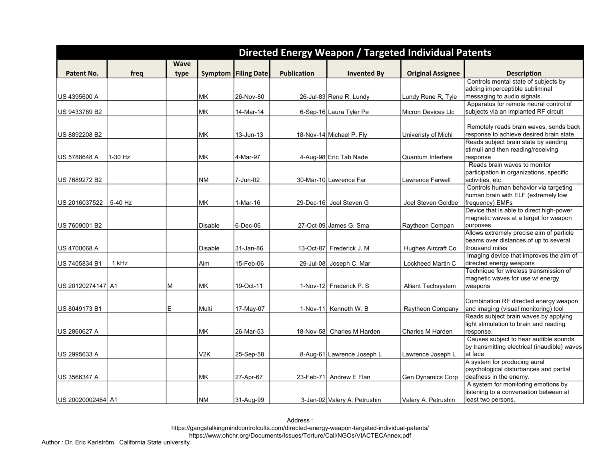|                    |         |             |                  |                              |                    |                              | Directed Energy Weapon / Targeted Individual Patents |                                                                               |
|--------------------|---------|-------------|------------------|------------------------------|--------------------|------------------------------|------------------------------------------------------|-------------------------------------------------------------------------------|
|                    |         | <b>Wave</b> |                  |                              |                    |                              |                                                      |                                                                               |
| Patent No.         | freq    | type        |                  | <b>Symptom   Filing Date</b> | <b>Publication</b> | <b>Invented By</b>           | <b>Original Assignee</b>                             | <b>Description</b>                                                            |
|                    |         |             |                  |                              |                    |                              |                                                      | Controls mental state of subjects by                                          |
|                    |         |             |                  |                              |                    |                              |                                                      | adding imperceptible subliminal                                               |
| US 4395600 A       |         |             | MK.              | 26-Nov-80                    |                    | 26-Jul-83 Rene R. Lundy      | Lundy Rene R, Tyle                                   | messaging to audio signals.                                                   |
|                    |         |             |                  |                              |                    |                              |                                                      | Apparatus for remote neural control of                                        |
| US 9433789 B2      |         |             | <b>MK</b>        | 14-Mar-14                    |                    | 6-Sep-16 Laura Tyler Pe      | Micron Devices Llc                                   | subjects via an implanted RF circuit                                          |
|                    |         |             |                  |                              |                    |                              |                                                      | Remotely reads brain waves, sends back                                        |
| US 8892208 B2      |         |             | MK               | 13-Jun-13                    |                    | 18-Nov-14 Michael P. Fly     | Univeristy of Michi                                  | response to achieve desired brain state.                                      |
|                    |         |             |                  |                              |                    |                              |                                                      | Reads subject brain state by sending                                          |
|                    |         |             |                  |                              |                    |                              |                                                      | stimuli and then reading/receiving                                            |
| IUS 5788648 A      | 1-30 Hz |             | MK.              | l4-Mar-97                    |                    | 4-Aug-98 Eric Tab Nade       | Quantum Interfere                                    | response                                                                      |
|                    |         |             |                  |                              |                    |                              |                                                      | Reads brain waves to monitor                                                  |
|                    |         |             | <b>NM</b>        |                              |                    |                              |                                                      | participation in organizations, specific<br>activities, etc                   |
| US 7689272 B2      |         |             |                  | 7-Jun-02                     |                    | 30-Mar-10 Lawrence Far       | Lawrence Farwell                                     | Controls human behavior via targeting                                         |
|                    |         |             |                  |                              |                    |                              |                                                      | human brain with ELF (extremely low                                           |
| US 2016037522      | 5-40 Hz |             | MK               | 1-Mar-16                     |                    | 29-Dec-16 Joel Steven G      | Joel Steven Goldbe                                   | frequency) EMFs                                                               |
|                    |         |             |                  |                              |                    |                              |                                                      | Device that is able to direct high-power                                      |
|                    |         |             |                  |                              |                    |                              |                                                      | magnetic waves at a target for weapon                                         |
| US 7609001 B2      |         |             | Disable          | 6-Dec-06                     |                    | 27-Oct-09 James G. Sma       | Raytheon Compan                                      | burposes.                                                                     |
|                    |         |             |                  |                              |                    |                              |                                                      | Allows extremely precise aim of particle                                      |
| US 4700068 A       |         |             | Disable          | 31-Jan-86                    |                    | 13-Oct-87 Frederick J. M     |                                                      | beams over distances of up to several<br>thousand miles                       |
|                    |         |             |                  |                              |                    |                              | Hughes Aircraft Co                                   | Imaging device that improves the aim of                                       |
| US 7405834 B1      | 1 kHz   |             | Aim              | 15-Feb-06                    |                    | 29-Jul-08 Joseph C. Mar      | Lockheed Martin C                                    | directed energy weapons                                                       |
|                    |         |             |                  |                              |                    |                              |                                                      | Technique for wireless transmission of                                        |
|                    |         |             |                  |                              |                    |                              |                                                      | magnetic waves for use w/ energy                                              |
| US 20120274147  A1 |         | M           | MK               | 19-Oct-11                    |                    | 1-Nov-12 Frederick P. S      | Alliant Techsystem                                   | weapons                                                                       |
|                    |         |             |                  |                              |                    |                              |                                                      |                                                                               |
|                    |         |             |                  |                              |                    |                              |                                                      | Combination RF directed energy weapon                                         |
| US 8049173 B1      |         | E           | Multi            | 17-May-07                    |                    | 1-Nov-11 Kenneth W. B        | Raytheon Company                                     | and imaging (visual monitoring) tool<br>Reads subject brain waves by applying |
|                    |         |             |                  |                              |                    |                              |                                                      | light stimulation to brain and reading                                        |
| US 2860627 A       |         |             | <b>MK</b>        | 26-Mar-53                    |                    | 18-Nov-58 Charles M Harden   | Charles M Harden                                     | response.                                                                     |
|                    |         |             |                  |                              |                    |                              |                                                      | Causes subject to hear audible sounds                                         |
|                    |         |             |                  |                              |                    |                              |                                                      | by transmitting electrical (inaudible) waves                                  |
| US 2995633 A       |         |             | V <sub>2</sub> K | 25-Sep-58                    |                    | 8-Aug-61 Lawrence Joseph L   | Lawrence Joseph L                                    | at face                                                                       |
|                    |         |             |                  |                              |                    |                              |                                                      | A system for producing aural                                                  |
|                    |         |             |                  |                              |                    |                              |                                                      | psychological disturbances and partial                                        |
| IUS 3566347 A      |         |             | MК               | 27-Apr-67                    |                    | 23-Feb-71 Andrew E Flan      | Gen Dynamics Corp                                    | deafness in the enemy.<br>A system for monitoring emotions by                 |
|                    |         |             |                  |                              |                    |                              |                                                      | listening to a conversation between at                                        |
| US 20020002464 A1  |         |             | INM              | 31-Aug-99                    |                    | 3-Jan-02 Valery A. Petrushin | Valery A. Petrushin                                  | least two persons.                                                            |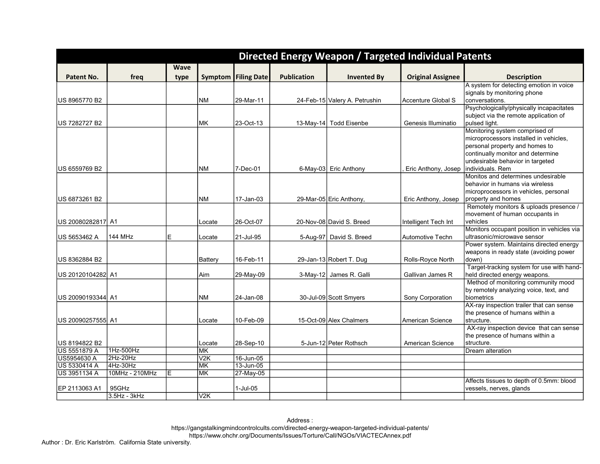|                                      |                    |             |                     |                            |                    |                               | Directed Energy Weapon / Targeted Individual Patents |                                                      |
|--------------------------------------|--------------------|-------------|---------------------|----------------------------|--------------------|-------------------------------|------------------------------------------------------|------------------------------------------------------|
|                                      |                    | <b>Wave</b> |                     |                            |                    |                               |                                                      |                                                      |
| Patent No.                           | freg               | type        |                     | <b>Symptom Filing Date</b> | <b>Publication</b> | <b>Invented By</b>            | <b>Original Assignee</b>                             | <b>Description</b>                                   |
|                                      |                    |             |                     |                            |                    |                               |                                                      | A system for detecting emotion in voice              |
|                                      |                    |             |                     |                            |                    |                               |                                                      | signals by monitoring phone                          |
| US 8965770 B2                        |                    |             | <b>NM</b>           | 29-Mar-11                  |                    | 24-Feb-15 Valery A. Petrushin | Accenture Global S                                   | conversations.                                       |
|                                      |                    |             |                     |                            |                    |                               |                                                      | Psychologically/physically incapacitates             |
|                                      |                    |             |                     |                            |                    |                               |                                                      | subject via the remote application of                |
| US 7282727 B2                        |                    |             | <b>MK</b>           | 23-Oct-13                  |                    | 13-May-14 Todd Eisenbe        | Genesis Illuminatio                                  | pulsed light.                                        |
|                                      |                    |             |                     |                            |                    |                               |                                                      | Monitoring system comprised of                       |
|                                      |                    |             |                     |                            |                    |                               |                                                      | microprocessors installed in vehicles,               |
|                                      |                    |             |                     |                            |                    |                               |                                                      | personal property and homes to                       |
|                                      |                    |             |                     |                            |                    |                               |                                                      | continually monitor and determine                    |
| US 6559769 B2                        |                    |             | <b>NM</b>           | 7-Dec-01                   |                    |                               |                                                      | undesirable behavior in targeted<br>individuals. Rem |
|                                      |                    |             |                     |                            |                    | 6-May-03 Eric Anthony         | Eric Anthony, Josep                                  | Monitos and determines undesirable                   |
|                                      |                    |             |                     |                            |                    |                               |                                                      | behavior in humans via wireless                      |
|                                      |                    |             |                     |                            |                    |                               |                                                      | microprocessors in vehicles, personal                |
| US 6873261 B2                        |                    |             | <b>NM</b>           | 17-Jan-03                  |                    | 29-Mar-05 Eric Anthony,       | Eric Anthony, Josep                                  | property and homes                                   |
|                                      |                    |             |                     |                            |                    |                               |                                                      | Remotely monitors & uploads presence /               |
|                                      |                    |             |                     |                            |                    |                               |                                                      | movement of human occupants in                       |
| US 20080282817 A1                    |                    |             | Locate              | 26-Oct-07                  |                    | 20-Nov-08 David S. Breed      | Intelligent Tech Int                                 | vehicles                                             |
|                                      |                    |             |                     |                            |                    |                               |                                                      | Monitors occupant position in vehicles via           |
| US 5653462 A                         | <b>144 MHz</b>     | E           | Locate              | 21-Jul-95                  |                    | 5-Aug-97 David S. Breed       | Automotive Techn                                     | ultrasonic/microwave sensor                          |
|                                      |                    |             |                     |                            |                    |                               |                                                      | Power system. Maintains directed energy              |
|                                      |                    |             |                     |                            |                    |                               |                                                      | weapons in ready state (avoiding power               |
| US 8362884 B2                        |                    |             | Battery             | 16-Feb-11                  |                    | 29-Jan-13 Robert T. Dug       | Rolls-Royce North                                    | down)                                                |
|                                      |                    |             |                     |                            |                    |                               |                                                      | Target-tracking system for use with hand-            |
| US 20120104282 A1                    |                    |             | Aim                 | 29-May-09                  |                    | 3-May-12 James R. Galli       | Gallivan James R                                     | held directed energy weapons.                        |
|                                      |                    |             |                     |                            |                    |                               |                                                      | Method of monitoring community mood                  |
|                                      |                    |             |                     |                            |                    |                               |                                                      | by remotely analyzing voice, text, and               |
| US 20090193344 A1                    |                    |             | <b>NM</b>           | 24-Jan-08                  |                    | 30-Jul-09 Scott Smyers        | Sony Corporation                                     | biometrics                                           |
|                                      |                    |             |                     |                            |                    |                               |                                                      | AX-ray inspection trailer that can sense             |
|                                      |                    |             |                     |                            |                    |                               |                                                      | the presence of humans within a                      |
| US 20090257555 A1                    |                    |             | Locate              | 10-Feb-09                  |                    | 15-Oct-09 Alex Chalmers       | American Science                                     | structure.                                           |
|                                      |                    |             |                     |                            |                    |                               |                                                      | AX-ray inspection device that can sense              |
|                                      |                    |             |                     |                            |                    |                               |                                                      | the presence of humans within a                      |
| US 8194822 B2<br><b>US 5551879 A</b> | 1Hz-500Hz          |             | Locate<br><b>MK</b> | 28-Sep-10                  |                    | 5-Jun-12 Peter Rothsch        | <b>American Science</b>                              | structure.                                           |
| US5954630 A                          | 2Hz-20Hz           |             | $\overline{V2K}$    | 16-Jun-05                  |                    |                               |                                                      | Dream alteration                                     |
| US 5330414 A                         | 4Hz-30Hz           |             | <b>MK</b>           | 13-Jun-05                  |                    |                               |                                                      |                                                      |
| US 3951134 A                         | 10MHz - 210MHz     | E           | <b>MK</b>           | 27-May-05                  |                    |                               |                                                      |                                                      |
|                                      |                    |             |                     |                            |                    |                               |                                                      | Affects tissues to depth of 0.5mm: blood             |
| EP 2113063 A1                        | 95GHz              |             |                     | $1$ -Jul-05                |                    |                               |                                                      | vessels, nerves, glands                              |
|                                      | $3.5$ Hz - $3$ kHz |             | V2K                 |                            |                    |                               |                                                      |                                                      |